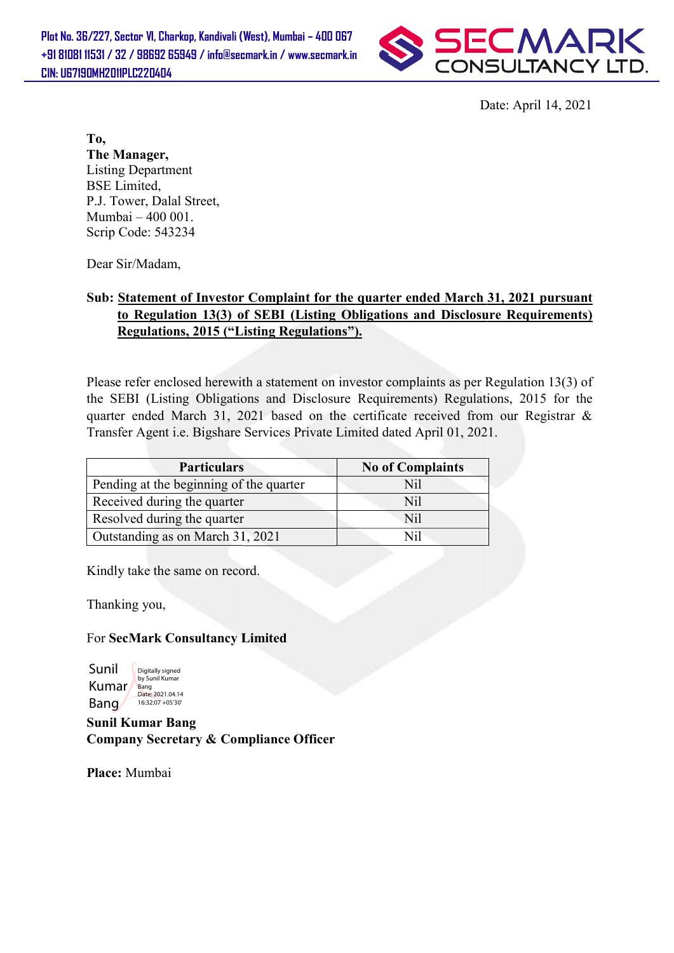

Date: April 14, 2021

## Sub: Statement of Investor Complaint for the quarter ended March 31, 2021 pursuant to Regulation 13(3) of SEBI (Listing Obligations and Disclosure Requirements) Regulations, 2015 ("Listing Regulations").

|                                                                             | Date: April 14, 2021                                                                                                                                                                 |
|-----------------------------------------------------------------------------|--------------------------------------------------------------------------------------------------------------------------------------------------------------------------------------|
| To,                                                                         |                                                                                                                                                                                      |
| The Manager,                                                                |                                                                                                                                                                                      |
| <b>Listing Department</b>                                                   |                                                                                                                                                                                      |
| <b>BSE</b> Limited,                                                         |                                                                                                                                                                                      |
| P.J. Tower, Dalal Street,                                                   |                                                                                                                                                                                      |
| Mumbai - 400 001.                                                           |                                                                                                                                                                                      |
| Scrip Code: 543234                                                          |                                                                                                                                                                                      |
| Dear Sir/Madam,                                                             |                                                                                                                                                                                      |
|                                                                             | Sub: Statement of Investor Complaint for the quarter ended March 31, 2021 pursuant<br>to Regulation 13(3) of SEBI (Listing Obligations and Disclosure Requirements)                  |
| <b>Regulations, 2015 ("Listing Regulations").</b>                           |                                                                                                                                                                                      |
|                                                                             |                                                                                                                                                                                      |
|                                                                             |                                                                                                                                                                                      |
|                                                                             | Please refer enclosed herewith a statement on investor complaints as per Regulation 13(3) of<br>the SEBI (Listing Obligations and Disclosure Requirements) Regulations, 2015 for the |
|                                                                             | quarter ended March 31, 2021 based on the certificate received from our Registrar &                                                                                                  |
|                                                                             |                                                                                                                                                                                      |
| Transfer Agent i.e. Bigshare Services Private Limited dated April 01, 2021. |                                                                                                                                                                                      |
| <b>Particulars</b>                                                          | <b>No of Complaints</b>                                                                                                                                                              |
| Pending at the beginning of the quarter                                     | Nil                                                                                                                                                                                  |
| Received during the quarter                                                 | N <sub>il</sub>                                                                                                                                                                      |
| Resolved during the quarter                                                 | Nil                                                                                                                                                                                  |
| Outstanding as on March 31, 2021                                            | Nil                                                                                                                                                                                  |
| Kindly take the same on record.                                             |                                                                                                                                                                                      |

Thanking you,

## For SecMark Consultancy Limited

Sunil Kumar Bang Digitally signed by Sunil Kumar Bang Date: 2021.04.14 16:32:07 +05'30'

Sunil Kumar Bang Company Secretary & Compliance Officer

Place: Mumbai